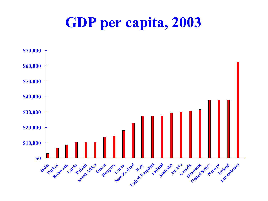### **GDP per capita, 2003**

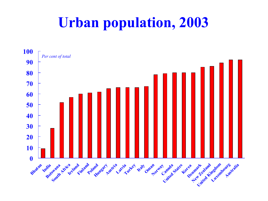# **Urban population, 2003**

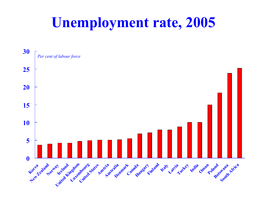### **Unemployment rate, 2005**

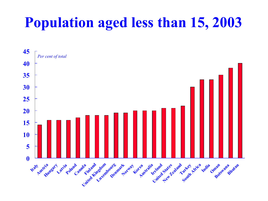# **Population aged less than 15, 2003**